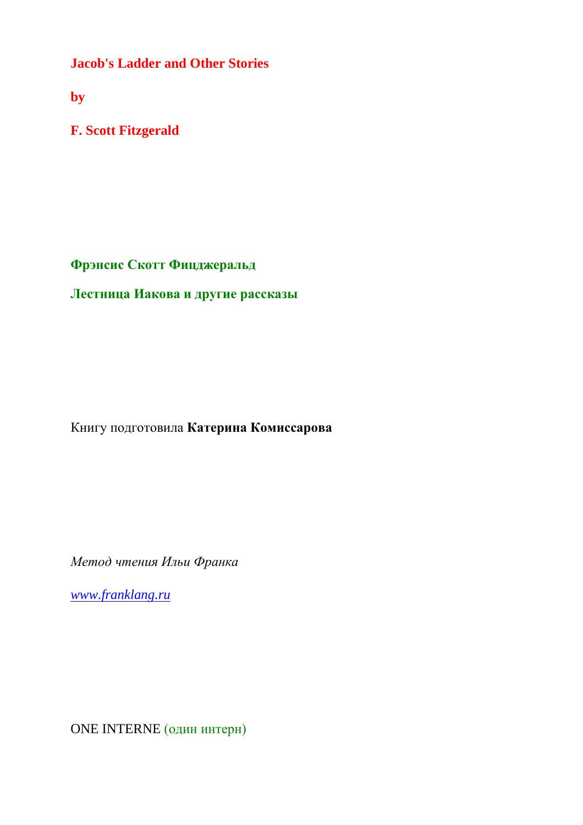**Jacob's Ladder and Other Stories**

**by**

**F. Scott Fitzgerald**

**Фрэнсис Скотт Фицджеральд**

**Лестница Иакова и другие рассказы**

Книгу подготовила **Катерина Комиссарова**

*Метод чтения Ильи Франка*

*[www.franklang.ru](http://www.franklang.ru/)*

ONE INTERNE (один интерн)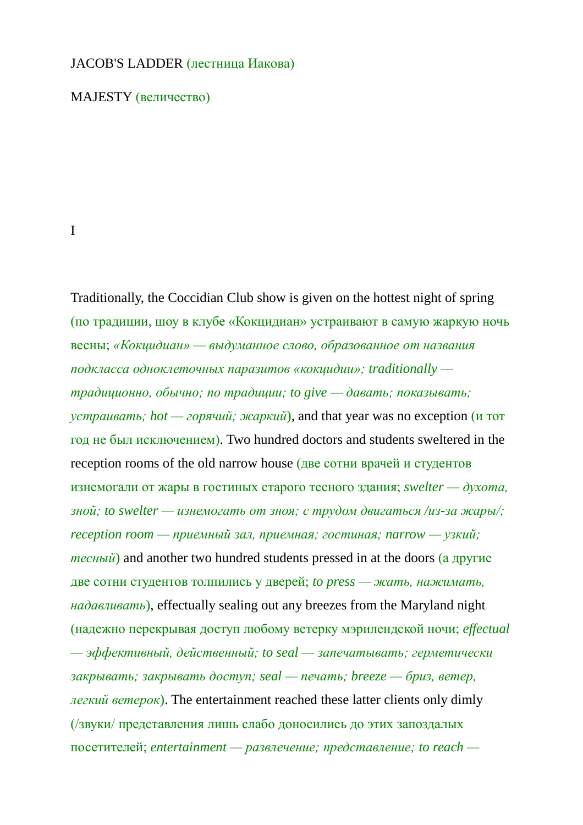## JACOB'S LADDER (лестница Иакова)

MAJESTY (величество)

## I

Traditionally, the Coccidian Club show is given on the hottest night of spring (по традиции, шоу в клубе «Кокцидиан» устраивают в самую жаркую ночь весны; *«Кокцидиан» — выдуманное слово, образованное от названия подкласса одноклеточных паразитов «кокцидии»; traditionally традиционно, обычно; по традиции; to give — давать; показывать; устраивать; hot — горячий; жаркий*), and that year was no exception (и тот год не был исключением). Two hundred doctors and students sweltered in the reception rooms of the old narrow house (две сотни врачей и студентов изнемогали от жары в гостиных старого тесного здания; *swelter — духота, зной; to swelter — изнемогать от зноя; с трудом двигаться /из-за жары/; reception room — приемный зал, приемная; гостиная; narrow — узкий; тесный*) and another two hundred students pressed in at the doors (а другие две сотни студентов толпились у дверей; *to press — жать, нажимать, надавливать*), effectually sealing out any breezes from the Maryland night (надежно перекрывая доступ любому ветерку мэрилендской ночи; *effectual — эффективный, действенный; to seal — запечатывать; герметически закрывать; закрывать доступ; seal — печать; breeze — бриз, ветер, легкий ветерок*). The entertainment reached these latter clients only dimly (/звуки/ представления лишь слабо доносились до этих запоздалых посетителей; *entertainment — развлечение; представление; to reach —*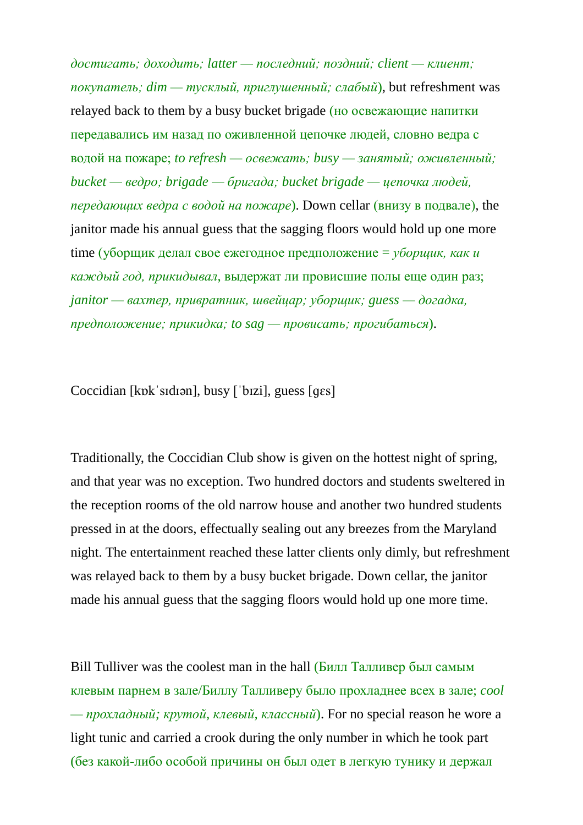*достигать; доходить; latter — последний; поздний; client — клиент; покупатель; dim — тусклый, приглушенный; слабый*), but refreshment was relayed back to them by a busy bucket brigade (но освежающие напитки передавались им назад по оживленной цепочке людей, словно ведра с водой на пожаре; *to refresh — освежать; busy — занятый; оживленный; bucket — ведро; brigade — бригада; bucket brigade — цепочка людей, передающих ведра с водой на пожаре*). Down cellar (внизу в подвале), the janitor made his annual guess that the sagging floors would hold up one more time (уборщик делал свое ежегодное предположение = *уборщик, как и каждый год, прикидывал*, выдержат ли провисшие полы еще один раз; *janitor — вахтер, привратник, швейцар; уборщик; guess — догадка, предположение; прикидка; to sag — провисать; прогибаться*).

Coccidian [kɒkˈsɪdɪən], busy [ˈbɪzi], guess [ɡɛs]

Traditionally, the Coccidian Club show is given on the hottest night of spring, and that year was no exception. Two hundred doctors and students sweltered in the reception rooms of the old narrow house and another two hundred students pressed in at the doors, effectually sealing out any breezes from the Maryland night. The entertainment reached these latter clients only dimly, but refreshment was relayed back to them by a busy bucket brigade. Down cellar, the janitor made his annual guess that the sagging floors would hold up one more time.

Bill Tulliver was the coolest man in the hall (Билл Талливер был самым клевым парнем в зале/Биллу Талливеру было прохладнее всех в зале; *cool — прохладный; крутой, клевый, классный*). For no special reason he wore a light tunic and carried a crook during the only number in which he took part (без какой-либо особой причины он был одет в легкую тунику и держал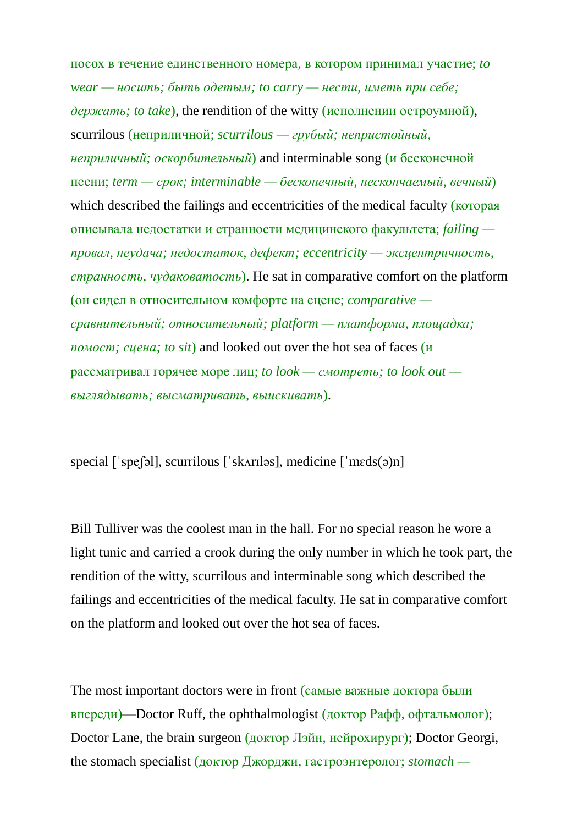посох в течение единственного номера, в котором принимал участие; *to wear — носить; быть одетым; to carry — нести, иметь при себе; держать; to take*), the rendition of the witty (исполнении остроумной), scurrilous (неприличной; *scurrilous — грубый; непристойный, неприличный; оскорбительный*) and interminable song (и бесконечной песни; *term — срок; interminable — бесконечный, нескончаемый, вечный*) which described the failings and eccentricities of the medical faculty (**KOTOPAS**) описывала недостатки и странности медицинского факультета; *failing провал, неудача; недостаток, дефект; eccentricity — эксцентричность, странность, чудаковатость*). He sat in comparative comfort on the platform (он сидел в относительном комфорте на сцене; *comparative сравнительный; относительный; platform — платформа, площадка; помост; сцена; to sit*) and looked out over the hot sea of faces (и рассматривал горячее море лиц; *to look — смотреть; to look out выглядывать; высматривать, выискивать*).

special [ˈspeʃəl], scurrilous [ˈskʌrɪləs], medicine [ˈmɛds(ə)n]

Bill Tulliver was the coolest man in the hall. For no special reason he wore a light tunic and carried a crook during the only number in which he took part, the rendition of the witty, scurrilous and interminable song which described the failings and eccentricities of the medical faculty. He sat in comparative comfort on the platform and looked out over the hot sea of faces.

The most important doctors were in front (самые важные доктора были впереди)—Doctor Ruff, the ophthalmologist (доктор Рафф, офтальмолог); Doctor Lane, the brain surgeon (доктор Лэйн, нейрохирург); Doctor Georgi, the stomach specialist (доктор Джорджи, гастроэнтеролог; *stomach —*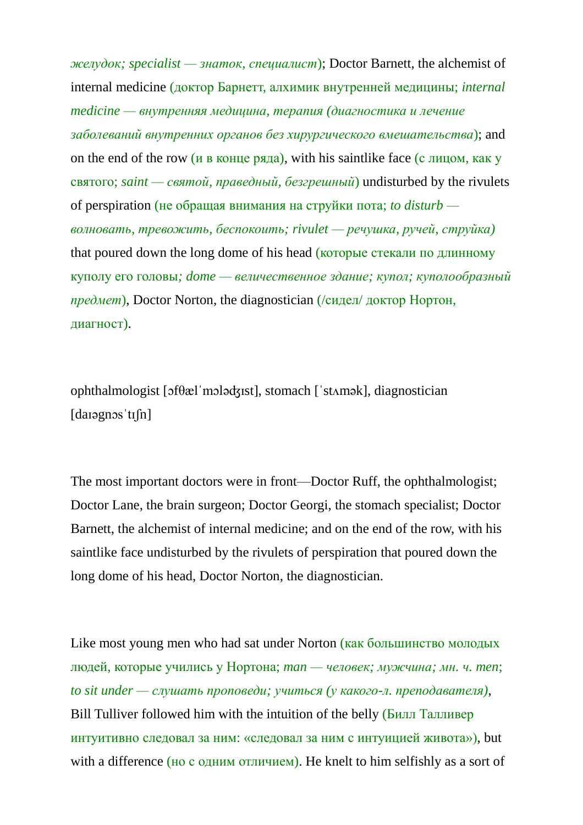*желудок; specialist — знаток, специалист*); Doctor Barnett, the alchemist of internal medicine (доктор Барнетт, алхимик внутренней медицины; *internal medicine — внутренняя медицина, терапия (диагностика и лечение заболеваний внутренних органов без хирургического вмешательства*); and on the end of the row (и в конце ряда), with his saintlike face (с лицом, как у святого; *saint — святой, праведный, безгрешный*) undisturbed by the rivulets of perspiration (не обращая внимания на струйки пота; *to disturb волновать, тревожить, беспокоить; rivulet — речушка, ручей, струйка)* that poured down the long dome of his head (которые стекали по длинному куполу его головы*; dome — величественное здание; купол; куполообразный предмет*), Doctor Norton, the diagnostician (/сидел/ доктор Нортон, диагност).

ophthalmologist [ɔfθælˈmɔləʤɪst], stomach [ˈstʌmək], diagnostician [daɪəgnɔsˈtɪʃn]

The most important doctors were in front—Doctor Ruff, the ophthalmologist; Doctor Lane, the brain surgeon; Doctor Georgi, the stomach specialist; Doctor Barnett, the alchemist of internal medicine; and on the end of the row, with his saintlike face undisturbed by the rivulets of perspiration that poured down the long dome of his head, Doctor Norton, the diagnostician.

Like most young men who had sat under Norton (как большинство молодых людей, которые учились у Нортона; *man — человек; мужчина; мн. ч. men*; *to sit under — слушать проповеди; учиться (у какого-л. преподавателя)*, Bill Tulliver followed him with the intuition of the belly (Билл Талливер интуитивно следовал за ним: «следовал за ним с интуицией живота»), but with a difference (но с одним отличием). He knelt to him selfishly as a sort of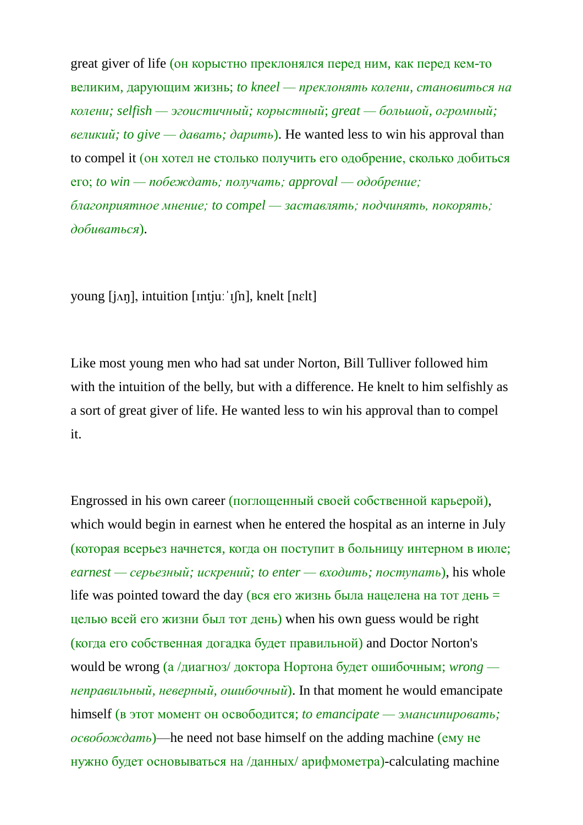great giver of life (он корыстно преклонялся перед ним, как перед кем-то великим, дарующим жизнь; *to kneel — преклонять колени, становиться на колени; selfish — эгоистичный; корыстный*; *great — большой, огромный; великий; to give — давать; дарить*). He wanted less to win his approval than to compel it (он хотел не столько получить его одобрение, сколько добиться его; *to win — побеждать; получать; approval — одобрение; благоприятное мнение; to compel — заставлять; подчинять, покорять; добиваться*).

young [jʌŋ], intuition [ɪntjuːˈɪʃn], knelt [nɛlt]

Like most young men who had sat under Norton, Bill Tulliver followed him with the intuition of the belly, but with a difference. He knelt to him selfishly as a sort of great giver of life. He wanted less to win his approval than to compel it.

Engrossed in his own career (поглощенный своей собственной карьерой), which would begin in earnest when he entered the hospital as an interne in July (которая всерьез начнется, когда он поступит в больницу интерном в июле; *earnest — серьезный; искрений; to enter — входить; поступать*), his whole life was pointed toward the day (вся его жизнь была нацелена на тот день  $=$ целью всей его жизни был тот день) when his own guess would be right (когда его собственная догадка будет правильной) and Doctor Norton's would be wrong (а /диагноз/ доктора Нортона будет ошибочным; *wrong неправильный, неверный, ошибочный*). In that moment he would emancipate himself (в этот момент он освободится; *to emancipate — эмансипировать; освобождать*)—he need not base himself on the adding machine (ему не нужно будет основываться на /данных/ арифмометра)-calculating machine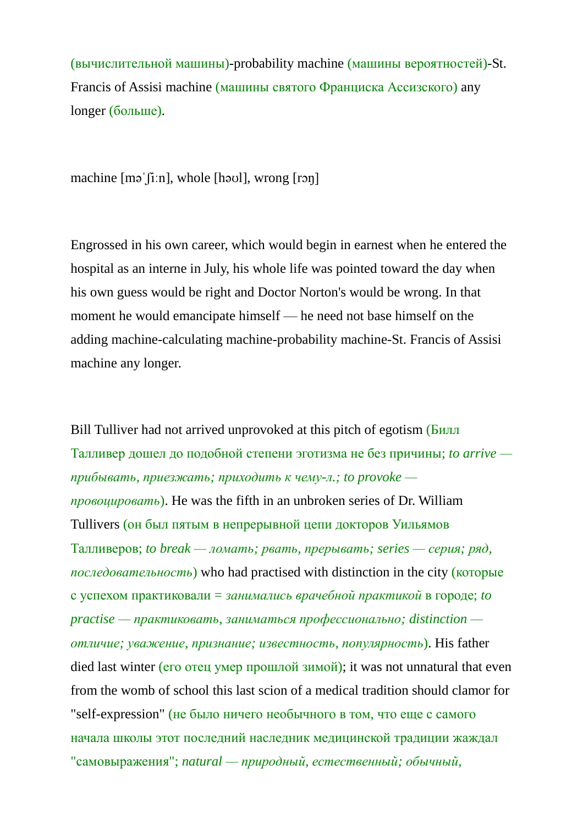(вычислительной машины)-probability machine (машины вероятностей)-St. Francis of Assisi machine (машины святого Франциска Ассизского) any longer (больше).

machine [məˈʃiːn], whole [həʊl], wrong [rɔŋ]

Engrossed in his own career, which would begin in earnest when he entered the hospital as an interne in July, his whole life was pointed toward the day when his own guess would be right and Doctor Norton's would be wrong. In that moment he would emancipate himself — he need not base himself on the adding machine-calculating machine-probability machine-St. Francis of Assisi machine any longer.

Bill Tulliver had not arrived unprovoked at this pitch of egotism (Билл Талливер дошел до подобной степени эготизма не без причины; *to arrive прибывать, приезжать; приходить к чему-л.; to provoke провоцировать*). He was the fifth in an unbroken series of Dr. William Tullivers (он был пятым в непрерывной цепи докторов Уильямов Талливеров; *to break — ломать; рвать, прерывать; series — серия; ряд, последовательность*) who had practised with distinction in the city (которые с успехом практиковали = *занимались врачебной практикой* в городе; *to practise — практиковать, заниматься профессионально; distinction отличие; уважение, признание; известность, популярность*). His father died last winter (его отец умер прошлой зимой); it was not unnatural that even from the womb of school this last scion of a medical tradition should clamor for "self-expression" (не было ничего необычного в том, что еще с самого начала школы этот последний наследник медицинской традиции жаждал "самовыражения"; *natural — природный, естественный; обычный,*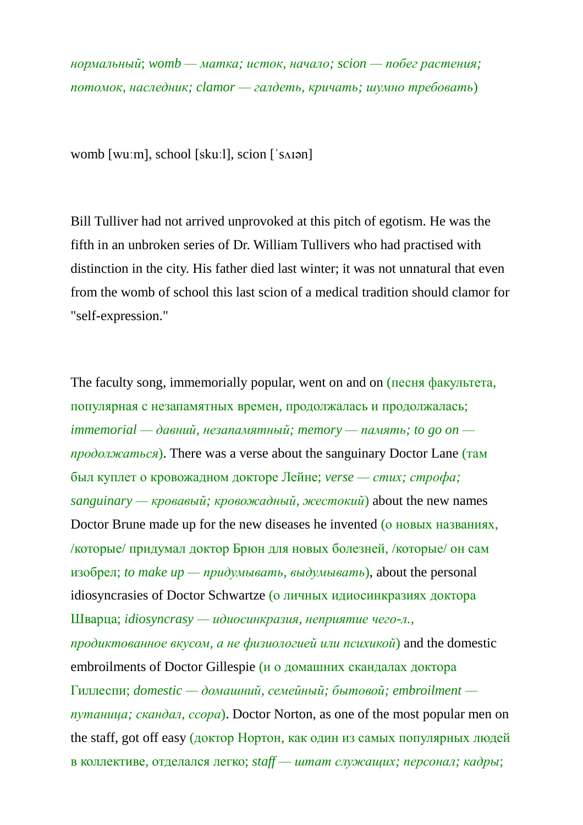*нормальный*; *womb — матка; исток, начало; scion — побег растения; потомок, наследник; clamor — галдеть, кричать; шумно требовать*)

womb [wuːm], school [skuːl], scion [ˈsʌɪən]

Bill Tulliver had not arrived unprovoked at this pitch of egotism. He was the fifth in an unbroken series of Dr. William Tullivers who had practised with distinction in the city. His father died last winter; it was not unnatural that even from the womb of school this last scion of a medical tradition should clamor for "self-expression."

The faculty song, immemorially popular, went on and on (песня факультета, популярная с незапамятных времен, продолжалась и продолжалась; *immemorial — давний, незапамятный; memory — память; to go on продолжаться*). There was a verse about the sanguinary Doctor Lane (там был куплет о кровожадном докторе Лейне; *verse — стих; строфа;*  $s$ *anguinary* — *кровавый; кровожадный, жестокий*) about the new names Doctor Brune made up for the new diseases he invented (о новых названиях, /которые/ придумал доктор Брюн для новых болезней, /которые/ он сам изобрел; *to make up — придумывать, выдумывать*), about the personal idiosyncrasies of Doctor Schwartze (о личных идиосинкразиях доктора Шварца; *idiosyncrasy — идиосинкразия, неприятие чего-л., продиктованное вкусом, а не физиологией или психикой*) and the domestic embroilments of Doctor Gillespie (и о домашних скандалах доктора Гиллеспи; *domestic — домашний, семейный; бытовой; embroilment путаница; скандал, ссора*). Doctor Norton, as one of the most popular men on the staff, got off easy (доктор Нортон, как один из самых популярных людей в коллективе, отделался легко; *staff — штат служащих; персонал; кадры*;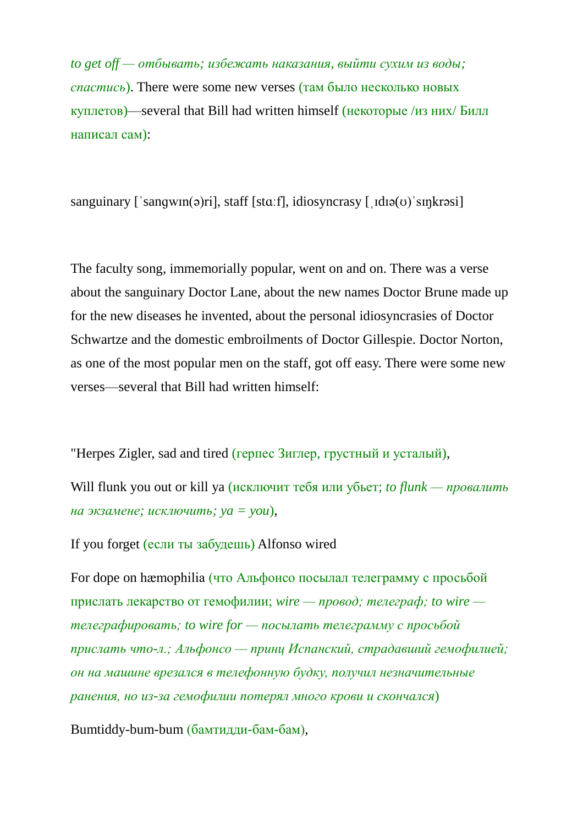*to get off — отбывать; избежать наказания, выйти сухим из воды; спастись*). There were some new verses (там было несколько новых куплетов)—several that Bill had written himself (некоторые /из них/ Билл написал сам):

sanguinary ['sangwin(ə)ri], staff [stɑːf], idiosyncrasy  $[$  idiə( $\sigma$ ) sinkrəsi]

The faculty song, immemorially popular, went on and on. There was a verse about the sanguinary Doctor Lane, about the new names Doctor Brune made up for the new diseases he invented, about the personal idiosyncrasies of Doctor Schwartze and the domestic embroilments of Doctor Gillespie. Doctor Norton, as one of the most popular men on the staff, got off easy. There were some new verses—several that Bill had written himself:

"Herpes Zigler, sad and tired (герпес Зиглер, грустный и усталый),

Will flunk you out or kill ya (исключит тебя или убьет; *to flunk — провалить на экзамене; исключить; ya = you*),

If you forget (если ты забудешь) Alfonso wired

For dope on hæmophilia (что Альфонсо посылал телеграмму с просьбой прислать лекарство от гемофилии; *wire — провод; телеграф; to wire телеграфировать; to wire for — посылать телеграмму с просьбой прислать что-л.; Альфонсо — принц Испанский, страдавший гемофилией; он на машине врезался в телефонную будку, получил незначительные ранения, но из-за гемофилии потерял много крови и скончался*)

Bumtiddy-bum-bum (бамтидди-бам-бам),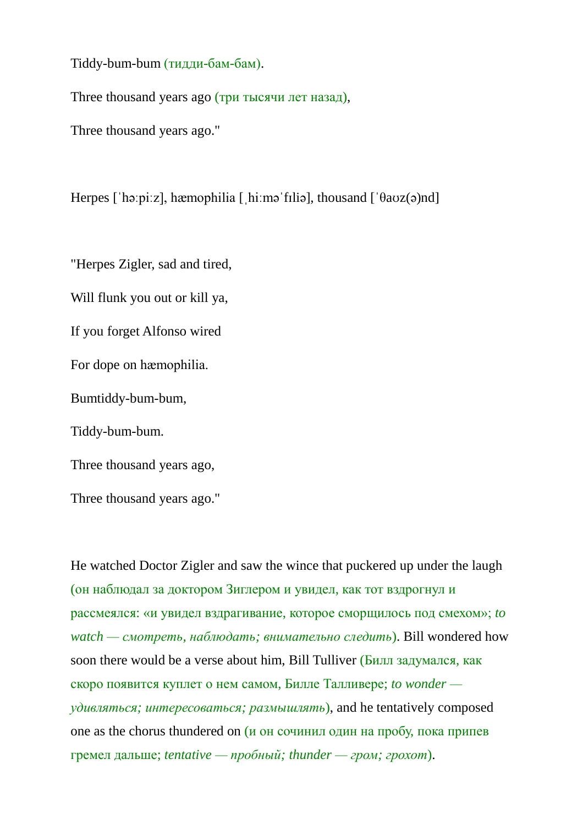Tiddy-bum-bum (тидди-бам-бам).

Three thousand years ago (три тысячи лет назад),

Three thousand years ago."

Herpes [ˈhəːpiːz], hæmophilia [ˌhiːməˈfɪliə], thousand [ˈθaʊz(ə)nd]

"Herpes Zigler, sad and tired,

Will flunk you out or kill ya,

If you forget Alfonso wired

For dope on hæmophilia.

Bumtiddy-bum-bum,

Tiddy-bum-bum.

Three thousand years ago,

Three thousand years ago."

He watched Doctor Zigler and saw the wince that puckered up under the laugh (он наблюдал за доктором Зиглером и увидел, как тот вздрогнул и рассмеялся: «и увидел вздрагивание, которое сморщилось под смехом»; *to watch — смотреть, наблюдать; внимательно следить*). Bill wondered how soon there would be a verse about him, Bill Tulliver (Билл задумался, как скоро появится куплет о нем самом, Билле Талливере; *to wonder удивляться; интересоваться; размышлять*), and he tentatively composed one as the chorus thundered on  $(u)$  он сочинил один на пробу, пока припев гремел дальше; *tentative — пробный; thunder — гром; грохот*).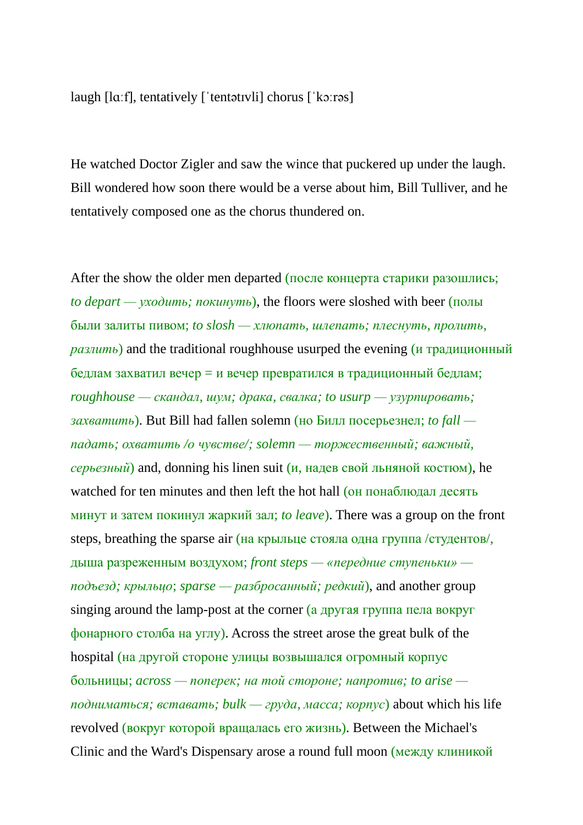laugh [lɑːf], tentatively [ˈtentətɪvli] chorus [ˈkɔːrəs]

He watched Doctor Zigler and saw the wince that puckered up under the laugh. Bill wondered how soon there would be a verse about him, Bill Tulliver, and he tentatively composed one as the chorus thundered on.

After the show the older men departed (после концерта старики разошлись; *to depart — уходить; покинуть*), the floors were sloshed with beer (полы были залиты пивом; *to slosh — хлюпать, шлепать; плеснуть, пролить, разлить*) and the traditional roughhouse usurped the evening (и традиционный бедлам захватил вечер = и вечер превратился в традиционный бедлам; *roughhouse — скандал, шум; драка, свалка; to usurp — узурпировать; захватить*). But Bill had fallen solemn (но Билл посерьезнел; *to fall падать; охватить /о чувстве/; solemn — торжественный; важный, серьезный*) and, donning his linen suit (и, надев свой льняной костюм), he watched for ten minutes and then left the hot hall (он понаблюдал десять минут и затем покинул жаркий зал; *to leave*). There was a group on the front steps, breathing the sparse air (на крыльце стояла одна группа /студентов/, дыша разреженным воздухом; *front steps — «передние ступеньки» подъезд; крыльцо*; *sparse — разбросанный; редкий*), and another group singing around the lamp-post at the corner (а другая группа пела вокруг фонарного столба на углу). Across the street arose the great bulk of the hospital (на другой стороне улицы возвышался огромный корпус больницы; *across — поперек; на той стороне; напротив; to arise подниматься; вставать; bulk — груда, масса; корпус*) about which his life revolved (вокруг которой вращалась его жизнь). Between the Michael's Clinic and the Ward's Dispensary arose a round full moon (между клиникой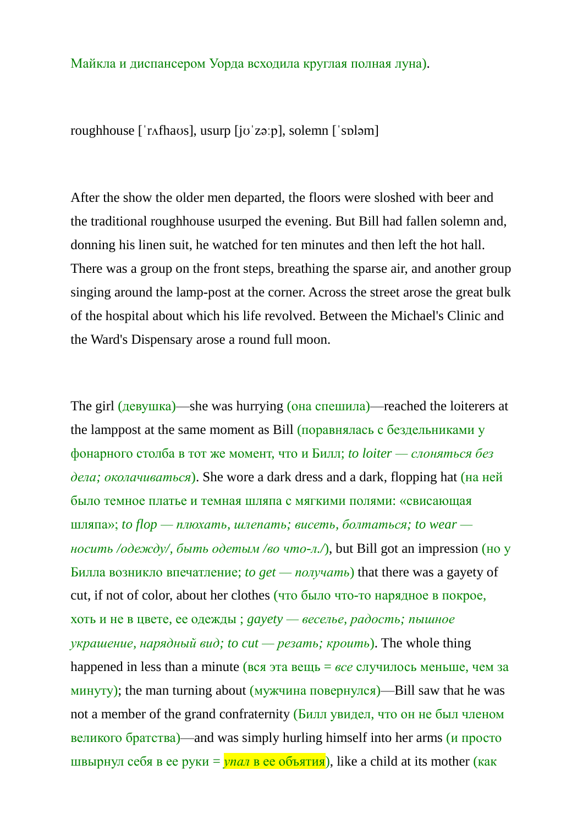## Майкла и диспансером Уорда всходила круглая полная луна).

roughhouse [ˈrʌfhaʊs], usurp [jʊˈzəːp], solemn [ˈsɒləm]

After the show the older men departed, the floors were sloshed with beer and the traditional roughhouse usurped the evening. But Bill had fallen solemn and, donning his linen suit, he watched for ten minutes and then left the hot hall. There was a group on the front steps, breathing the sparse air, and another group singing around the lamp-post at the corner. Across the street arose the great bulk of the hospital about which his life revolved. Between the Michael's Clinic and the Ward's Dispensary arose a round full moon.

The girl (девушка)—she was hurrying (она спешила)—reached the loiterers at the lamppost at the same moment as Bill (поравнялась с бездельниками у фонарного столба в тот же момент, что и Билл; *to loiter — слоняться без дела; околачиваться*). She wore a dark dress and a dark, flopping hat (на ней было темное платье и темная шляпа с мягкими полями: «свисающая шляпа»; *to flop — плюхать, шлепать; висеть, болтаться; to wear носить /одежду/, быть одетым /во что-л./*), but Bill got an impression (но у Билла возникло впечатление; *to get — получать*) that there was a gayety of cut, if not of color, about her clothes (что было что-то нарядное в покрое, хоть и не в цвете, ее одежды ; *gayety — веселье, радость; пышное украшение, нарядный вид; to cut — резать; кроить*). The whole thing happened in less than a minute (вся эта вещь = *все* случилось меньше, чем за минуту); the man turning about  $(My)$ жчина повернулся)—Bill saw that he was not a member of the grand confraternity (Билл увидел, что он не был членом великого братства)—and was simply hurling himself into her arms ( $\mu$  просто швырнул себя в ее руки = *упал* в ее объятия), like a child at its mother (как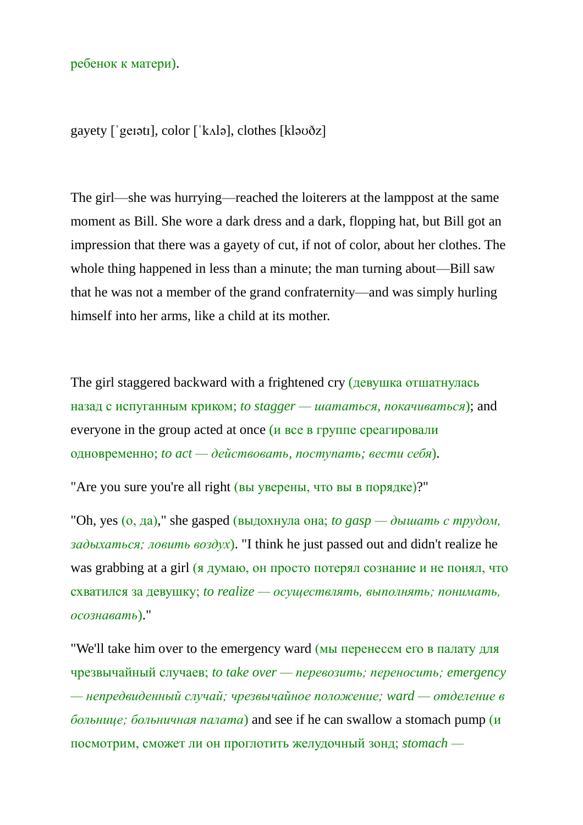ребенок к матери).

gayety [ˈgeɪətɪ], color [ˈkʌlə], clothes [kləʊðz]

The girl—she was hurrying—reached the loiterers at the lamppost at the same moment as Bill. She wore a dark dress and a dark, flopping hat, but Bill got an impression that there was a gayety of cut, if not of color, about her clothes. The whole thing happened in less than a minute; the man turning about—Bill saw that he was not a member of the grand confraternity—and was simply hurling himself into her arms, like a child at its mother.

The girl staggered backward with a frightened cry (девушка отшатнулась назад с испуганным криком; *to stagger — шататься, покачиваться*); and everyone in the group acted at once (и все в группе среагировали одновременно; *to act — действовать, поступать; вести себя*).

"Are you sure you're all right (вы уверены, что вы в порядке)?"

"Oh, yes  $(o, \text{qa})$ ," she gasped (выдохнула она; *to gasp* — *дышать с трудом*, *задыхаться; ловить воздух*). "I think he just passed out and didn't realize he was grabbing at a girl (я думаю, он просто потерял сознание и не понял, что схватился за девушку; *to realize — осуществлять, выполнять; понимать, осознавать*)."

"We'll take him over to the emergency ward (мы перенесем его в палату для чрезвычайный случаев; *to take over — перевозить; переносить; emergency — непредвиденный случай; чрезвычайное положение; ward — отделение в больнице; больничная палата*) and see if he can swallow a stomach pump (и посмотрим, сможет ли он проглотить желудочный зонд; *stomach —*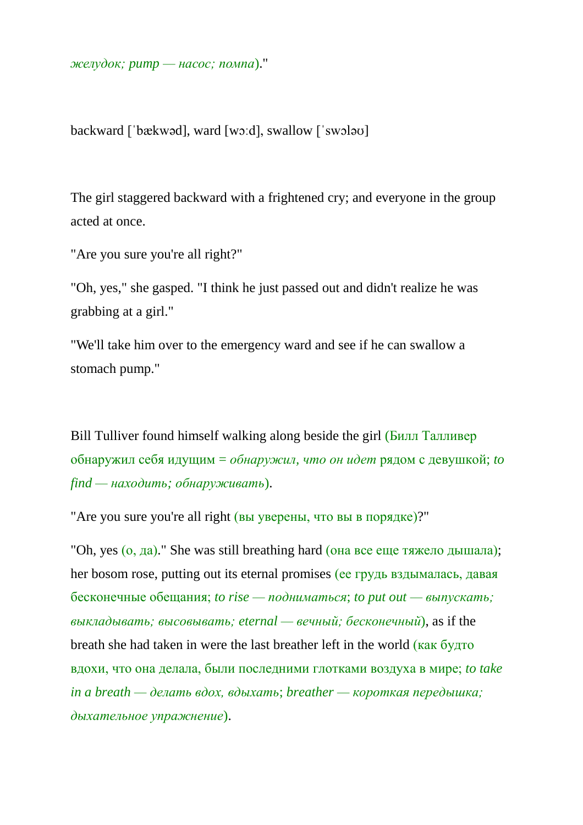*желудок; pump — насос; помпа*)."

backward [ˈbækwəd], ward [wɔːd], swallow [ˈswɔləʊ]

The girl staggered backward with a frightened cry; and everyone in the group acted at once.

"Are you sure you're all right?"

"Oh, yes," she gasped. "I think he just passed out and didn't realize he was grabbing at a girl."

"We'll take him over to the emergency ward and see if he can swallow a stomach pump."

Bill Tulliver found himself walking along beside the girl (Билл Талливер) обнаружил себя идущим = *обнаружил, что он идет* рядом с девушкой; *to find — находить; обнаруживать*).

"Are you sure you're all right (вы уверены, что вы в порядке)?"

"Oh, yes (о, да)." She was still breathing hard (она все еще тяжело дышала); her bosom rose, putting out its eternal promises (ее грудь вздымалась, давая бесконечные обещания; *to rise — подниматься*; *to put out — выпускать; выкладывать; высовывать; eternal — вечный; бесконечный*), as if the breath she had taken in were the last breather left in the world (как будто вдохи, что она делала, были последними глотками воздуха в мире; *to take in a breath — делать вдох, вдыхать*; *breather — короткая передышка; дыхательное упражнение*).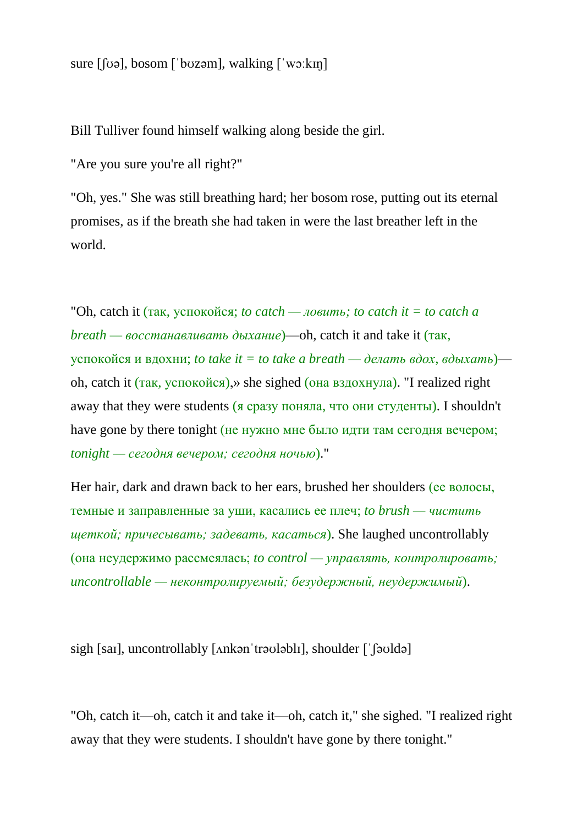sure [ʃʊə], bosom [ˈbʊzəm], walking [ˈwɔːkɪŋ]

Bill Tulliver found himself walking along beside the girl.

"Are you sure you're all right?"

"Oh, yes." She was still breathing hard; her bosom rose, putting out its eternal promises, as if the breath she had taken in were the last breather left in the world.

"Oh, catch it (так, успокойся; *to catch — ловить; to catch it* = *to catch a breath — восстанавливать дыхание*)—oh, catch it and take it (так, успокойся и вдохни; *to take it = to take a breath — делать вдох, вдыхать*) oh, catch it (так, успокойся),» she sighed (она вздохнула). "I realized right away that they were students (я сразу поняла, что они студенты). I shouldn't have gone by there tonight (не нужно мне было идти там сегодня вечером; *tonight — сегодня вечером; сегодня ночью*)."

Her hair, dark and drawn back to her ears, brushed her shoulders (ее волосы, темные и заправленные за уши, касались ее плеч; *to brush — чистить щеткой; причесывать; задевать, касаться*). She laughed uncontrollably (она неудержимо рассмеялась; *to control — управлять, контролировать; uncontrollable — неконтролируемый; безудержный, неудержимый*).

sigh [saɪ], uncontrollably [ʌnkənˈtrəʊləblɪ], shoulder [ˈʃəʊldə]

"Oh, catch it—oh, catch it and take it—oh, catch it," she sighed. "I realized right away that they were students. I shouldn't have gone by there tonight."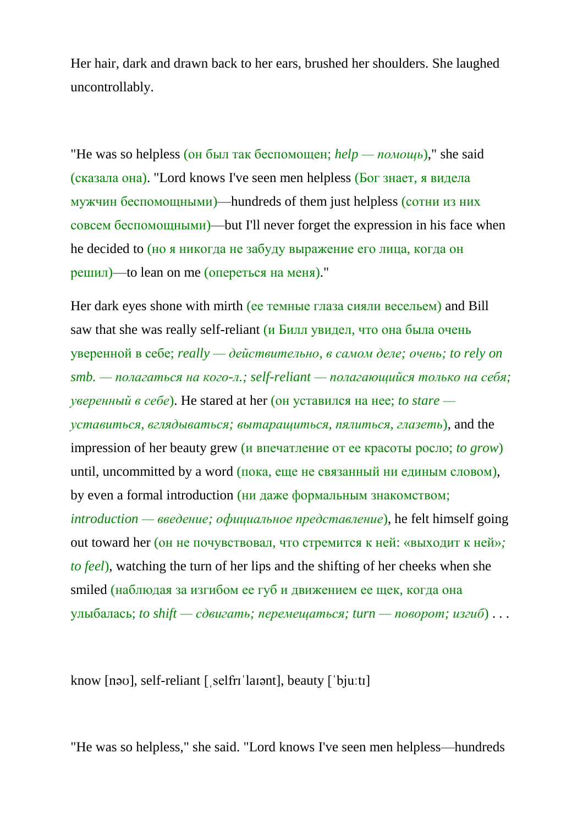Her hair, dark and drawn back to her ears, brushed her shoulders. She laughed uncontrollably.

"He was so helpless (он был так беспомощен; *help — помощь*)," she said (сказала она). "Lord knows I've seen men helpless (Бог знает, я видела мужчин беспомощными)—hundreds of them just helpless (сотни из них совсем беспомощными)—but I'll never forget the expression in his face when he decided to (но я никогда не забуду выражение его лица, когда он решил)—to lean on me (опереться на меня)."

Her dark eyes shone with mirth (ее темные глаза сияли весельем) and Bill saw that she was really self-reliant (и Билл увидел, что она была очень уверенной в себе; *really — действительно, в самом деле; очень; to rely on smb. — полагаться на кого-л.; self-reliant — полагающийся только на себя; уверенный в себе*). He stared at her (он уставился на нее; *to stare уставиться, вглядываться; вытаращиться, пялиться, глазеть*), and the impression of her beauty grew (и впечатление от ее красоты росло; *to grow*) until, uncommitted by a word (пока, еще не связанный ни единым словом), by even a formal introduction (ни даже формальным знакомством; *introduction — введение; официальное представление*), he felt himself going out toward her (он не почувствовал, что стремится к ней: «выходит к ней»*; to feel*), watching the turn of her lips and the shifting of her cheeks when she smiled (наблюдая за изгибом ее губ и движением ее щек, когда она улыбалась; *to shift — сдвигать; перемещаться; turn — поворот; изгиб*) . . .

know [nəʊ], self-reliant [ˌselfrɪˈlaɪənt], beauty [ˈbjuːtɪ]

"He was so helpless," she said. "Lord knows I've seen men helpless—hundreds